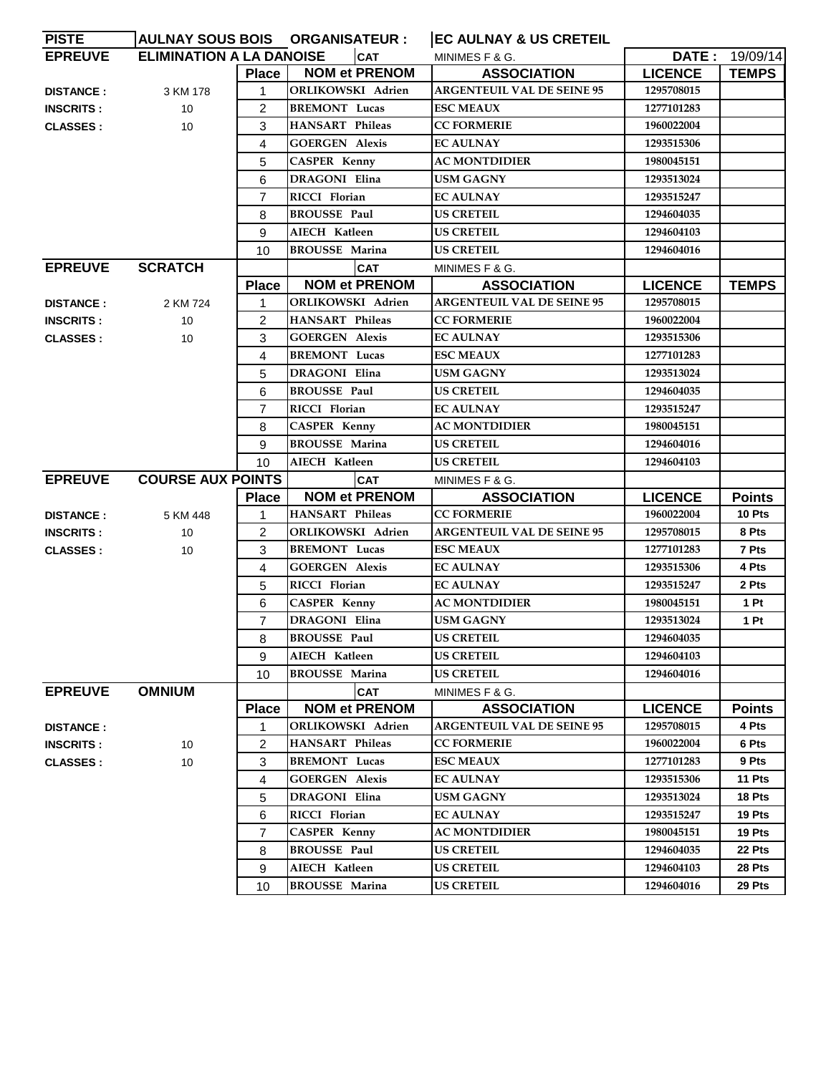| <b>EPREUVE</b><br><b>ELIMINATION A LA DANOISE</b><br><b>CAT</b><br><b>DATE: 19/09/14</b><br>MINIMES F & G.<br><b>NOM et PRENOM</b><br><b>LICENCE</b><br>Place<br><b>ASSOCIATION</b><br><b>ARGENTEUIL VAL DE SEINE 95</b><br>ORLIKOWSKI Adrien<br>1295708015<br>$\mathbf{1}$<br><b>DISTANCE:</b><br>3 KM 178<br><b>BREMONT Lucas</b><br>$\overline{2}$<br><b>ESC MEAUX</b><br>1277101283<br><b>INSCRITS:</b><br>10<br><b>HANSART Phileas</b><br><b>CC FORMERIE</b><br>3<br>1960022004<br><b>CLASSES:</b><br>10<br><b>GOERGEN Alexis</b><br><b>EC AULNAY</b><br>4<br>1293515306<br><b>CASPER Kenny</b><br>5<br><b>AC MONTDIDIER</b><br>1980045151<br><b>DRAGONI Elina</b><br><b>USM GAGNY</b><br>1293513024<br>6<br>$\overline{7}$<br>RICCI Florian<br><b>EC AULNAY</b><br>1293515247<br><b>BROUSSE Paul</b><br><b>US CRETEIL</b><br>1294604035<br>8<br>AIECH Katleen<br><b>US CRETEIL</b><br>1294604103<br>9<br><b>BROUSSE Marina</b><br><b>US CRETEIL</b><br>10<br>1294604016<br><b>EPREUVE</b><br><b>SCRATCH</b><br><b>CAT</b><br>MINIMES F & G.<br><b>NOM et PRENOM</b><br><b>ASSOCIATION</b><br><b>LICENCE</b><br><b>Place</b><br><b>ARGENTEUIL VAL DE SEINE 95</b><br>ORLIKOWSKI Adrien<br>1295708015<br>1<br><b>DISTANCE:</b><br>2 KM 724<br><b>HANSART Phileas</b><br><b>CC FORMERIE</b><br>$\overline{2}$<br>1960022004<br>10<br><b>INSCRITS:</b><br><b>GOERGEN Alexis</b><br><b>EC AULNAY</b><br>1293515306<br>3<br><b>CLASSES:</b><br>10<br><b>BREMONT</b> Lucas<br><b>ESC MEAUX</b><br>1277101283<br>4<br><b>DRAGONI Elina</b><br>5<br><b>USM GAGNY</b><br>1293513024<br><b>BROUSSE Paul</b><br><b>US CRETEIL</b><br>1294604035<br>6<br>RICCI Florian<br><b>EC AULNAY</b><br>1293515247<br>7<br><b>CASPER Kenny</b><br><b>AC MONTDIDIER</b><br>8<br>1980045151<br><b>BROUSSE Marina</b><br><b>US CRETEIL</b><br>9<br>1294604016<br><b>US CRETEIL</b><br>10<br>AIECH Katleen<br>1294604103<br><b>COURSE AUX POINTS</b><br><b>EPREUVE</b><br><b>CAT</b><br>MINIMES F & G.<br><b>NOM et PRENOM</b><br><b>Place</b><br><b>ASSOCIATION</b><br><b>LICENCE</b><br><b>CC FORMERIE</b><br><b>HANSART Phileas</b><br>1960022004<br>10 Pts<br>1<br><b>DISTANCE:</b><br>5 KM 448<br>ORLIKOWSKI Adrien<br><b>ARGENTEUIL VAL DE SEINE 95</b><br>1295708015<br>8 Pts<br>$\overline{2}$<br><b>INSCRITS:</b><br>10 |  | AULNAY SOUS BOIS ORGANISATEUR : | <b>EC AULNAY &amp; US CRETEIL</b> |               |
|-------------------------------------------------------------------------------------------------------------------------------------------------------------------------------------------------------------------------------------------------------------------------------------------------------------------------------------------------------------------------------------------------------------------------------------------------------------------------------------------------------------------------------------------------------------------------------------------------------------------------------------------------------------------------------------------------------------------------------------------------------------------------------------------------------------------------------------------------------------------------------------------------------------------------------------------------------------------------------------------------------------------------------------------------------------------------------------------------------------------------------------------------------------------------------------------------------------------------------------------------------------------------------------------------------------------------------------------------------------------------------------------------------------------------------------------------------------------------------------------------------------------------------------------------------------------------------------------------------------------------------------------------------------------------------------------------------------------------------------------------------------------------------------------------------------------------------------------------------------------------------------------------------------------------------------------------------------------------------------------------------------------------------------------------------------------------------------------------------------------------------------------------------------------------------------------------------------------------------------------------------------------------------------------------------------|--|---------------------------------|-----------------------------------|---------------|
|                                                                                                                                                                                                                                                                                                                                                                                                                                                                                                                                                                                                                                                                                                                                                                                                                                                                                                                                                                                                                                                                                                                                                                                                                                                                                                                                                                                                                                                                                                                                                                                                                                                                                                                                                                                                                                                                                                                                                                                                                                                                                                                                                                                                                                                                                                             |  |                                 |                                   |               |
|                                                                                                                                                                                                                                                                                                                                                                                                                                                                                                                                                                                                                                                                                                                                                                                                                                                                                                                                                                                                                                                                                                                                                                                                                                                                                                                                                                                                                                                                                                                                                                                                                                                                                                                                                                                                                                                                                                                                                                                                                                                                                                                                                                                                                                                                                                             |  |                                 |                                   | <b>TEMPS</b>  |
|                                                                                                                                                                                                                                                                                                                                                                                                                                                                                                                                                                                                                                                                                                                                                                                                                                                                                                                                                                                                                                                                                                                                                                                                                                                                                                                                                                                                                                                                                                                                                                                                                                                                                                                                                                                                                                                                                                                                                                                                                                                                                                                                                                                                                                                                                                             |  |                                 |                                   |               |
|                                                                                                                                                                                                                                                                                                                                                                                                                                                                                                                                                                                                                                                                                                                                                                                                                                                                                                                                                                                                                                                                                                                                                                                                                                                                                                                                                                                                                                                                                                                                                                                                                                                                                                                                                                                                                                                                                                                                                                                                                                                                                                                                                                                                                                                                                                             |  |                                 |                                   |               |
|                                                                                                                                                                                                                                                                                                                                                                                                                                                                                                                                                                                                                                                                                                                                                                                                                                                                                                                                                                                                                                                                                                                                                                                                                                                                                                                                                                                                                                                                                                                                                                                                                                                                                                                                                                                                                                                                                                                                                                                                                                                                                                                                                                                                                                                                                                             |  |                                 |                                   |               |
|                                                                                                                                                                                                                                                                                                                                                                                                                                                                                                                                                                                                                                                                                                                                                                                                                                                                                                                                                                                                                                                                                                                                                                                                                                                                                                                                                                                                                                                                                                                                                                                                                                                                                                                                                                                                                                                                                                                                                                                                                                                                                                                                                                                                                                                                                                             |  |                                 |                                   |               |
|                                                                                                                                                                                                                                                                                                                                                                                                                                                                                                                                                                                                                                                                                                                                                                                                                                                                                                                                                                                                                                                                                                                                                                                                                                                                                                                                                                                                                                                                                                                                                                                                                                                                                                                                                                                                                                                                                                                                                                                                                                                                                                                                                                                                                                                                                                             |  |                                 |                                   |               |
|                                                                                                                                                                                                                                                                                                                                                                                                                                                                                                                                                                                                                                                                                                                                                                                                                                                                                                                                                                                                                                                                                                                                                                                                                                                                                                                                                                                                                                                                                                                                                                                                                                                                                                                                                                                                                                                                                                                                                                                                                                                                                                                                                                                                                                                                                                             |  |                                 |                                   |               |
|                                                                                                                                                                                                                                                                                                                                                                                                                                                                                                                                                                                                                                                                                                                                                                                                                                                                                                                                                                                                                                                                                                                                                                                                                                                                                                                                                                                                                                                                                                                                                                                                                                                                                                                                                                                                                                                                                                                                                                                                                                                                                                                                                                                                                                                                                                             |  |                                 |                                   |               |
|                                                                                                                                                                                                                                                                                                                                                                                                                                                                                                                                                                                                                                                                                                                                                                                                                                                                                                                                                                                                                                                                                                                                                                                                                                                                                                                                                                                                                                                                                                                                                                                                                                                                                                                                                                                                                                                                                                                                                                                                                                                                                                                                                                                                                                                                                                             |  |                                 |                                   |               |
|                                                                                                                                                                                                                                                                                                                                                                                                                                                                                                                                                                                                                                                                                                                                                                                                                                                                                                                                                                                                                                                                                                                                                                                                                                                                                                                                                                                                                                                                                                                                                                                                                                                                                                                                                                                                                                                                                                                                                                                                                                                                                                                                                                                                                                                                                                             |  |                                 |                                   |               |
|                                                                                                                                                                                                                                                                                                                                                                                                                                                                                                                                                                                                                                                                                                                                                                                                                                                                                                                                                                                                                                                                                                                                                                                                                                                                                                                                                                                                                                                                                                                                                                                                                                                                                                                                                                                                                                                                                                                                                                                                                                                                                                                                                                                                                                                                                                             |  |                                 |                                   |               |
|                                                                                                                                                                                                                                                                                                                                                                                                                                                                                                                                                                                                                                                                                                                                                                                                                                                                                                                                                                                                                                                                                                                                                                                                                                                                                                                                                                                                                                                                                                                                                                                                                                                                                                                                                                                                                                                                                                                                                                                                                                                                                                                                                                                                                                                                                                             |  |                                 |                                   |               |
|                                                                                                                                                                                                                                                                                                                                                                                                                                                                                                                                                                                                                                                                                                                                                                                                                                                                                                                                                                                                                                                                                                                                                                                                                                                                                                                                                                                                                                                                                                                                                                                                                                                                                                                                                                                                                                                                                                                                                                                                                                                                                                                                                                                                                                                                                                             |  |                                 |                                   | <b>TEMPS</b>  |
|                                                                                                                                                                                                                                                                                                                                                                                                                                                                                                                                                                                                                                                                                                                                                                                                                                                                                                                                                                                                                                                                                                                                                                                                                                                                                                                                                                                                                                                                                                                                                                                                                                                                                                                                                                                                                                                                                                                                                                                                                                                                                                                                                                                                                                                                                                             |  |                                 |                                   |               |
|                                                                                                                                                                                                                                                                                                                                                                                                                                                                                                                                                                                                                                                                                                                                                                                                                                                                                                                                                                                                                                                                                                                                                                                                                                                                                                                                                                                                                                                                                                                                                                                                                                                                                                                                                                                                                                                                                                                                                                                                                                                                                                                                                                                                                                                                                                             |  |                                 |                                   |               |
|                                                                                                                                                                                                                                                                                                                                                                                                                                                                                                                                                                                                                                                                                                                                                                                                                                                                                                                                                                                                                                                                                                                                                                                                                                                                                                                                                                                                                                                                                                                                                                                                                                                                                                                                                                                                                                                                                                                                                                                                                                                                                                                                                                                                                                                                                                             |  |                                 |                                   |               |
|                                                                                                                                                                                                                                                                                                                                                                                                                                                                                                                                                                                                                                                                                                                                                                                                                                                                                                                                                                                                                                                                                                                                                                                                                                                                                                                                                                                                                                                                                                                                                                                                                                                                                                                                                                                                                                                                                                                                                                                                                                                                                                                                                                                                                                                                                                             |  |                                 |                                   |               |
|                                                                                                                                                                                                                                                                                                                                                                                                                                                                                                                                                                                                                                                                                                                                                                                                                                                                                                                                                                                                                                                                                                                                                                                                                                                                                                                                                                                                                                                                                                                                                                                                                                                                                                                                                                                                                                                                                                                                                                                                                                                                                                                                                                                                                                                                                                             |  |                                 |                                   |               |
|                                                                                                                                                                                                                                                                                                                                                                                                                                                                                                                                                                                                                                                                                                                                                                                                                                                                                                                                                                                                                                                                                                                                                                                                                                                                                                                                                                                                                                                                                                                                                                                                                                                                                                                                                                                                                                                                                                                                                                                                                                                                                                                                                                                                                                                                                                             |  |                                 |                                   |               |
|                                                                                                                                                                                                                                                                                                                                                                                                                                                                                                                                                                                                                                                                                                                                                                                                                                                                                                                                                                                                                                                                                                                                                                                                                                                                                                                                                                                                                                                                                                                                                                                                                                                                                                                                                                                                                                                                                                                                                                                                                                                                                                                                                                                                                                                                                                             |  |                                 |                                   |               |
|                                                                                                                                                                                                                                                                                                                                                                                                                                                                                                                                                                                                                                                                                                                                                                                                                                                                                                                                                                                                                                                                                                                                                                                                                                                                                                                                                                                                                                                                                                                                                                                                                                                                                                                                                                                                                                                                                                                                                                                                                                                                                                                                                                                                                                                                                                             |  |                                 |                                   |               |
|                                                                                                                                                                                                                                                                                                                                                                                                                                                                                                                                                                                                                                                                                                                                                                                                                                                                                                                                                                                                                                                                                                                                                                                                                                                                                                                                                                                                                                                                                                                                                                                                                                                                                                                                                                                                                                                                                                                                                                                                                                                                                                                                                                                                                                                                                                             |  |                                 |                                   |               |
|                                                                                                                                                                                                                                                                                                                                                                                                                                                                                                                                                                                                                                                                                                                                                                                                                                                                                                                                                                                                                                                                                                                                                                                                                                                                                                                                                                                                                                                                                                                                                                                                                                                                                                                                                                                                                                                                                                                                                                                                                                                                                                                                                                                                                                                                                                             |  |                                 |                                   |               |
|                                                                                                                                                                                                                                                                                                                                                                                                                                                                                                                                                                                                                                                                                                                                                                                                                                                                                                                                                                                                                                                                                                                                                                                                                                                                                                                                                                                                                                                                                                                                                                                                                                                                                                                                                                                                                                                                                                                                                                                                                                                                                                                                                                                                                                                                                                             |  |                                 |                                   |               |
|                                                                                                                                                                                                                                                                                                                                                                                                                                                                                                                                                                                                                                                                                                                                                                                                                                                                                                                                                                                                                                                                                                                                                                                                                                                                                                                                                                                                                                                                                                                                                                                                                                                                                                                                                                                                                                                                                                                                                                                                                                                                                                                                                                                                                                                                                                             |  |                                 |                                   | <b>Points</b> |
|                                                                                                                                                                                                                                                                                                                                                                                                                                                                                                                                                                                                                                                                                                                                                                                                                                                                                                                                                                                                                                                                                                                                                                                                                                                                                                                                                                                                                                                                                                                                                                                                                                                                                                                                                                                                                                                                                                                                                                                                                                                                                                                                                                                                                                                                                                             |  |                                 |                                   |               |
|                                                                                                                                                                                                                                                                                                                                                                                                                                                                                                                                                                                                                                                                                                                                                                                                                                                                                                                                                                                                                                                                                                                                                                                                                                                                                                                                                                                                                                                                                                                                                                                                                                                                                                                                                                                                                                                                                                                                                                                                                                                                                                                                                                                                                                                                                                             |  |                                 |                                   |               |
| 7 Pts<br><b>BREMONT Lucas</b><br><b>ESC MEAUX</b><br>1277101283<br>3<br><b>CLASSES:</b><br>10                                                                                                                                                                                                                                                                                                                                                                                                                                                                                                                                                                                                                                                                                                                                                                                                                                                                                                                                                                                                                                                                                                                                                                                                                                                                                                                                                                                                                                                                                                                                                                                                                                                                                                                                                                                                                                                                                                                                                                                                                                                                                                                                                                                                               |  |                                 |                                   |               |
| <b>GOERGEN Alexis</b><br>4 Pts<br><b>EC AULNAY</b><br>1293515306<br>4                                                                                                                                                                                                                                                                                                                                                                                                                                                                                                                                                                                                                                                                                                                                                                                                                                                                                                                                                                                                                                                                                                                                                                                                                                                                                                                                                                                                                                                                                                                                                                                                                                                                                                                                                                                                                                                                                                                                                                                                                                                                                                                                                                                                                                       |  |                                 |                                   |               |
| RICCI Florian<br><b>EC AULNAY</b><br>1293515247<br>2 Pts<br>5                                                                                                                                                                                                                                                                                                                                                                                                                                                                                                                                                                                                                                                                                                                                                                                                                                                                                                                                                                                                                                                                                                                                                                                                                                                                                                                                                                                                                                                                                                                                                                                                                                                                                                                                                                                                                                                                                                                                                                                                                                                                                                                                                                                                                                               |  |                                 |                                   |               |
| <b>CASPER Kenny</b><br>1 Pt<br>6<br><b>AC MONTDIDIER</b><br>1980045151                                                                                                                                                                                                                                                                                                                                                                                                                                                                                                                                                                                                                                                                                                                                                                                                                                                                                                                                                                                                                                                                                                                                                                                                                                                                                                                                                                                                                                                                                                                                                                                                                                                                                                                                                                                                                                                                                                                                                                                                                                                                                                                                                                                                                                      |  |                                 |                                   |               |
| DRAGONI Elina<br><b>USM GAGNY</b><br>1 Pt<br>$\overline{7}$<br>1293513024                                                                                                                                                                                                                                                                                                                                                                                                                                                                                                                                                                                                                                                                                                                                                                                                                                                                                                                                                                                                                                                                                                                                                                                                                                                                                                                                                                                                                                                                                                                                                                                                                                                                                                                                                                                                                                                                                                                                                                                                                                                                                                                                                                                                                                   |  |                                 |                                   |               |
| 8<br><b>BROUSSE Paul</b><br><b>US CRETEIL</b><br>1294604035                                                                                                                                                                                                                                                                                                                                                                                                                                                                                                                                                                                                                                                                                                                                                                                                                                                                                                                                                                                                                                                                                                                                                                                                                                                                                                                                                                                                                                                                                                                                                                                                                                                                                                                                                                                                                                                                                                                                                                                                                                                                                                                                                                                                                                                 |  |                                 |                                   |               |
| <b>US CRETEIL</b><br>AIECH Katleen<br>1294604103<br>9                                                                                                                                                                                                                                                                                                                                                                                                                                                                                                                                                                                                                                                                                                                                                                                                                                                                                                                                                                                                                                                                                                                                                                                                                                                                                                                                                                                                                                                                                                                                                                                                                                                                                                                                                                                                                                                                                                                                                                                                                                                                                                                                                                                                                                                       |  |                                 |                                   |               |
| <b>BROUSSE Marina</b><br><b>US CRETEIL</b><br>1294604016<br>10                                                                                                                                                                                                                                                                                                                                                                                                                                                                                                                                                                                                                                                                                                                                                                                                                                                                                                                                                                                                                                                                                                                                                                                                                                                                                                                                                                                                                                                                                                                                                                                                                                                                                                                                                                                                                                                                                                                                                                                                                                                                                                                                                                                                                                              |  |                                 |                                   |               |
| <b>EPREUVE</b><br><b>OMNIUM</b><br><b>CAT</b><br>MINIMES F & G.                                                                                                                                                                                                                                                                                                                                                                                                                                                                                                                                                                                                                                                                                                                                                                                                                                                                                                                                                                                                                                                                                                                                                                                                                                                                                                                                                                                                                                                                                                                                                                                                                                                                                                                                                                                                                                                                                                                                                                                                                                                                                                                                                                                                                                             |  |                                 |                                   |               |
| <b>NOM et PRENOM</b><br><b>ASSOCIATION</b><br><b>LICENCE</b><br><b>Place</b>                                                                                                                                                                                                                                                                                                                                                                                                                                                                                                                                                                                                                                                                                                                                                                                                                                                                                                                                                                                                                                                                                                                                                                                                                                                                                                                                                                                                                                                                                                                                                                                                                                                                                                                                                                                                                                                                                                                                                                                                                                                                                                                                                                                                                                |  |                                 |                                   | <b>Points</b> |
| ORLIKOWSKI Adrien<br><b>ARGENTEUIL VAL DE SEINE 95</b><br>1295708015<br>4 Pts<br>1<br><b>DISTANCE:</b>                                                                                                                                                                                                                                                                                                                                                                                                                                                                                                                                                                                                                                                                                                                                                                                                                                                                                                                                                                                                                                                                                                                                                                                                                                                                                                                                                                                                                                                                                                                                                                                                                                                                                                                                                                                                                                                                                                                                                                                                                                                                                                                                                                                                      |  |                                 |                                   |               |
| HANSART Phileas<br><b>CC FORMERIE</b><br>6 Pts<br>2<br>1960022004<br><b>INSCRITS:</b><br>10                                                                                                                                                                                                                                                                                                                                                                                                                                                                                                                                                                                                                                                                                                                                                                                                                                                                                                                                                                                                                                                                                                                                                                                                                                                                                                                                                                                                                                                                                                                                                                                                                                                                                                                                                                                                                                                                                                                                                                                                                                                                                                                                                                                                                 |  |                                 |                                   |               |
| 3<br><b>BREMONT Lucas</b><br>9 Pts<br><b>ESC MEAUX</b><br>1277101283<br><b>CLASSES:</b><br>10                                                                                                                                                                                                                                                                                                                                                                                                                                                                                                                                                                                                                                                                                                                                                                                                                                                                                                                                                                                                                                                                                                                                                                                                                                                                                                                                                                                                                                                                                                                                                                                                                                                                                                                                                                                                                                                                                                                                                                                                                                                                                                                                                                                                               |  |                                 |                                   |               |
| <b>GOERGEN Alexis</b><br><b>EC AULNAY</b><br>11 Pts<br>4<br>1293515306                                                                                                                                                                                                                                                                                                                                                                                                                                                                                                                                                                                                                                                                                                                                                                                                                                                                                                                                                                                                                                                                                                                                                                                                                                                                                                                                                                                                                                                                                                                                                                                                                                                                                                                                                                                                                                                                                                                                                                                                                                                                                                                                                                                                                                      |  |                                 |                                   |               |
| 5<br>DRAGONI Elina<br>USM GAGNY<br>1293513024<br>18 Pts                                                                                                                                                                                                                                                                                                                                                                                                                                                                                                                                                                                                                                                                                                                                                                                                                                                                                                                                                                                                                                                                                                                                                                                                                                                                                                                                                                                                                                                                                                                                                                                                                                                                                                                                                                                                                                                                                                                                                                                                                                                                                                                                                                                                                                                     |  |                                 |                                   |               |
| 6<br>19 Pts<br>RICCI Florian<br><b>EC AULNAY</b><br>1293515247                                                                                                                                                                                                                                                                                                                                                                                                                                                                                                                                                                                                                                                                                                                                                                                                                                                                                                                                                                                                                                                                                                                                                                                                                                                                                                                                                                                                                                                                                                                                                                                                                                                                                                                                                                                                                                                                                                                                                                                                                                                                                                                                                                                                                                              |  |                                 |                                   |               |
| <b>CASPER Kenny</b><br>$\overline{7}$<br>AC MONTDIDIER<br>1980045151<br>19 Pts                                                                                                                                                                                                                                                                                                                                                                                                                                                                                                                                                                                                                                                                                                                                                                                                                                                                                                                                                                                                                                                                                                                                                                                                                                                                                                                                                                                                                                                                                                                                                                                                                                                                                                                                                                                                                                                                                                                                                                                                                                                                                                                                                                                                                              |  |                                 |                                   |               |
| <b>BROUSSE Paul</b><br><b>US CRETEIL</b><br>1294604035<br>22 Pts<br>8                                                                                                                                                                                                                                                                                                                                                                                                                                                                                                                                                                                                                                                                                                                                                                                                                                                                                                                                                                                                                                                                                                                                                                                                                                                                                                                                                                                                                                                                                                                                                                                                                                                                                                                                                                                                                                                                                                                                                                                                                                                                                                                                                                                                                                       |  |                                 |                                   |               |
| <b>US CRETEIL</b><br>AIECH Katleen<br>1294604103<br>28 Pts<br>9                                                                                                                                                                                                                                                                                                                                                                                                                                                                                                                                                                                                                                                                                                                                                                                                                                                                                                                                                                                                                                                                                                                                                                                                                                                                                                                                                                                                                                                                                                                                                                                                                                                                                                                                                                                                                                                                                                                                                                                                                                                                                                                                                                                                                                             |  |                                 |                                   |               |
|                                                                                                                                                                                                                                                                                                                                                                                                                                                                                                                                                                                                                                                                                                                                                                                                                                                                                                                                                                                                                                                                                                                                                                                                                                                                                                                                                                                                                                                                                                                                                                                                                                                                                                                                                                                                                                                                                                                                                                                                                                                                                                                                                                                                                                                                                                             |  |                                 |                                   |               |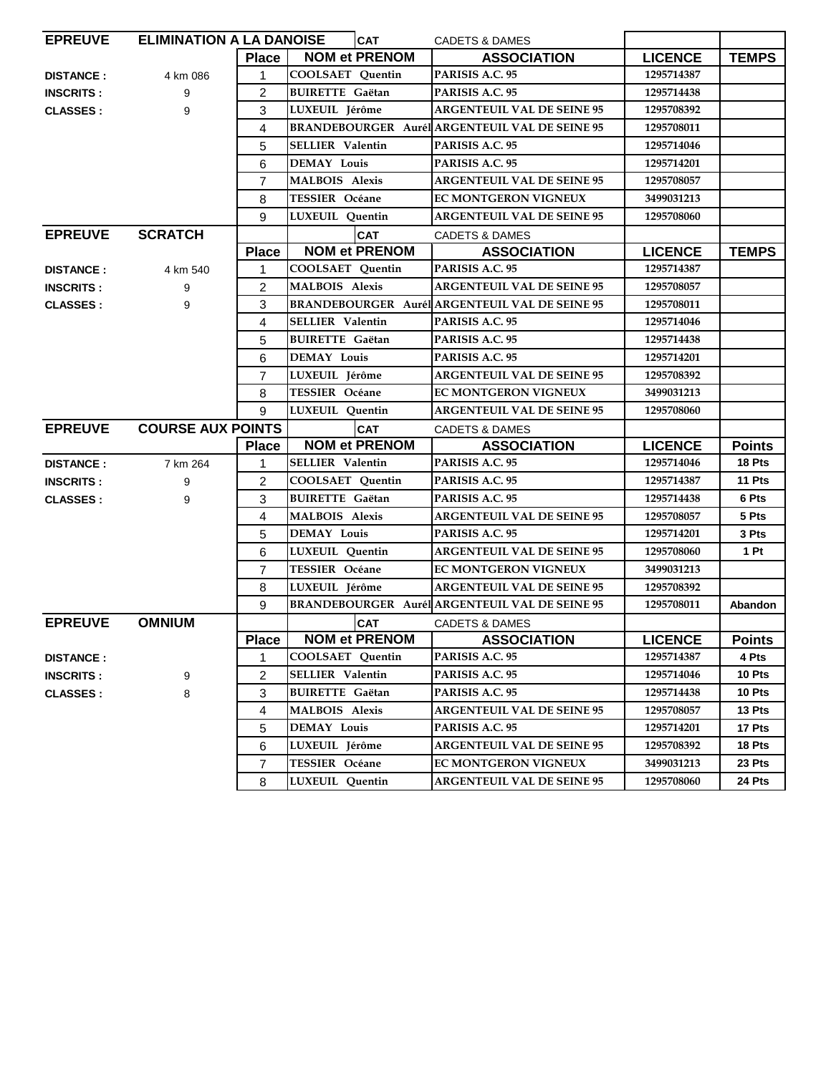| <b>EPREUVE</b>   | <b>ELIMINATION A LA DANOISE</b> |                | <b>CAT</b>              | <b>CADETS &amp; DAMES</b>                             |                |               |
|------------------|---------------------------------|----------------|-------------------------|-------------------------------------------------------|----------------|---------------|
|                  |                                 | <b>Place</b>   | <b>NOM et PRENOM</b>    | <b>ASSOCIATION</b>                                    | <b>LICENCE</b> | <b>TEMPS</b>  |
| <b>DISTANCE:</b> | 4 km 086                        | $\mathbf{1}$   | <b>COOLSAET</b> Quentin | PARISIS A.C. 95                                       | 1295714387     |               |
| <b>INSCRITS:</b> | 9                               | 2              | <b>BUIRETTE Gaëtan</b>  | PARISIS A.C. 95                                       | 1295714438     |               |
| <b>CLASSES:</b>  | 9                               | 3              | LUXEUIL Jérôme          | <b>ARGENTEUIL VAL DE SEINE 95</b>                     | 1295708392     |               |
|                  |                                 | 4              |                         | <b>BRANDEBOURGER Aurél ARGENTEUIL VAL DE SEINE 95</b> | 1295708011     |               |
|                  |                                 | 5              | <b>SELLIER</b> Valentin | PARISIS A.C. 95                                       | 1295714046     |               |
|                  |                                 | 6              | <b>DEMAY Louis</b>      | PARISIS A.C. 95                                       | 1295714201     |               |
|                  |                                 | $\overline{7}$ | <b>MALBOIS Alexis</b>   | <b>ARGENTEUIL VAL DE SEINE 95</b>                     | 1295708057     |               |
|                  |                                 | 8              | <b>TESSIER Océane</b>   | <b>EC MONTGERON VIGNEUX</b>                           | 3499031213     |               |
|                  |                                 | 9              | LUXEUIL Ouentin         | <b>ARGENTEUIL VAL DE SEINE 95</b>                     | 1295708060     |               |
| <b>EPREUVE</b>   | <b>SCRATCH</b>                  |                | <b>CAT</b>              | <b>CADETS &amp; DAMES</b>                             |                |               |
|                  |                                 | <b>Place</b>   | <b>NOM et PRENOM</b>    | <b>ASSOCIATION</b>                                    | <b>LICENCE</b> | <b>TEMPS</b>  |
| <b>DISTANCE:</b> | 4 km 540                        | $\mathbf{1}$   | COOLSAET Ouentin        | PARISIS A.C. 95                                       | 1295714387     |               |
| <b>INSCRITS:</b> | 9                               | 2              | <b>MALBOIS Alexis</b>   | <b>ARGENTEUIL VAL DE SEINE 95</b>                     | 1295708057     |               |
| <b>CLASSES:</b>  | 9                               | 3              |                         | <b>BRANDEBOURGER Aurél ARGENTEUIL VAL DE SEINE 95</b> | 1295708011     |               |
|                  |                                 | 4              | <b>SELLIER</b> Valentin | PARISIS A.C. 95                                       | 1295714046     |               |
|                  |                                 | 5              | <b>BUIRETTE Gaëtan</b>  | PARISIS A.C. 95                                       | 1295714438     |               |
|                  |                                 | 6              | <b>DEMAY Louis</b>      | PARISIS A.C. 95                                       | 1295714201     |               |
|                  |                                 | $\overline{7}$ | LUXEUIL Jérôme          | <b>ARGENTEUIL VAL DE SEINE 95</b>                     | 1295708392     |               |
|                  |                                 | 8              | <b>TESSIER Océane</b>   | <b>EC MONTGERON VIGNEUX</b>                           | 3499031213     |               |
|                  |                                 | 9              | LUXEUIL Quentin         | <b>ARGENTEUIL VAL DE SEINE 95</b>                     | 1295708060     |               |
| <b>EPREUVE</b>   | <b>COURSE AUX POINTS</b>        |                | <b>CAT</b>              | <b>CADETS &amp; DAMES</b>                             |                |               |
|                  |                                 | <b>Place</b>   | <b>NOM et PRENOM</b>    | <b>ASSOCIATION</b>                                    | <b>LICENCE</b> | <b>Points</b> |
| <b>DISTANCE:</b> | 7 km 264                        | $\mathbf{1}$   | <b>SELLIER</b> Valentin | PARISIS A.C. 95                                       | 1295714046     | 18 Pts        |
| <b>INSCRITS:</b> | 9                               | $\overline{2}$ | <b>COOLSAET</b> Quentin | PARISIS A.C. 95                                       | 1295714387     | 11 Pts        |
| <b>CLASSES:</b>  | 9                               | 3              | <b>BUIRETTE Gaëtan</b>  | PARISIS A.C. 95                                       | 1295714438     | 6 Pts         |
|                  |                                 | 4              | <b>MALBOIS Alexis</b>   | <b>ARGENTEUIL VAL DE SEINE 95</b>                     | 1295708057     | 5 Pts         |
|                  |                                 | 5              | <b>DEMAY Louis</b>      | PARISIS A.C. 95                                       | 1295714201     | 3 Pts         |
|                  |                                 | 6              | LUXEUIL Quentin         | <b>ARGENTEUIL VAL DE SEINE 95</b>                     | 1295708060     | 1 Pt          |
|                  |                                 | $\overline{7}$ | <b>TESSIER Océane</b>   | <b>EC MONTGERON VIGNEUX</b>                           | 3499031213     |               |
|                  |                                 | 8              | LUXEUIL Jérôme          | <b>ARGENTEUIL VAL DE SEINE 95</b>                     | 1295708392     |               |
|                  |                                 | 9              |                         | <b>BRANDEBOURGER AurélARGENTEUIL VAL DE SEINE 95</b>  | 1295708011     | Abandon       |
| <b>EPREUVE</b>   | <b>OMNIUM</b>                   |                | <b>CAT</b>              | <b>CADETS &amp; DAMES</b>                             |                |               |
|                  |                                 | <b>Place</b>   | <b>NOM et PRENOM</b>    | <b>ASSOCIATION</b>                                    | <b>LICENCE</b> | <b>Points</b> |
| <b>DISTANCE:</b> |                                 | $\mathbf{1}$   | <b>COOLSAET</b> Quentin | PARISIS A.C. 95                                       | 1295714387     | 4 Pts         |
| <b>INSCRITS:</b> | 9                               | 2              | <b>SELLIER Valentin</b> | PARISIS A.C. 95                                       | 1295714046     | 10 Pts        |
| <b>CLASSES:</b>  | 8                               | 3              | <b>BUIRETTE Gaëtan</b>  | PARISIS A.C. 95                                       | 1295714438     | 10 Pts        |
|                  |                                 | 4              | <b>MALBOIS</b> Alexis   | <b>ARGENTEUIL VAL DE SEINE 95</b>                     | 1295708057     | 13 Pts        |
|                  |                                 | 5              | <b>DEMAY Louis</b>      | PARISIS A.C. 95                                       | 1295714201     | 17 Pts        |
|                  |                                 | 6              | LUXEUIL Jérôme          | <b>ARGENTEUIL VAL DE SEINE 95</b>                     | 1295708392     | 18 Pts        |
|                  |                                 | $\overline{7}$ | <b>TESSIER Océane</b>   | <b>EC MONTGERON VIGNEUX</b>                           | 3499031213     | 23 Pts        |
|                  |                                 | 8              | LUXEUIL Quentin         | <b>ARGENTEUIL VAL DE SEINE 95</b>                     | 1295708060     | 24 Pts        |